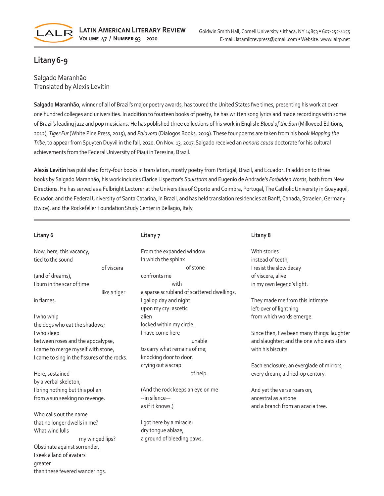

# **Litany6-9**

Salgado Maranhão Translated by Alexis Levitin

**Salgado Maranhão**, winner of all of Brazil's major poetry awards, has toured the United States five times, presenting his work at over one hundred colleges and universities. In addition to fourteen books of poetry, he has written song lyrics and made recordings with some of Brazil's leading jazz and pop musicians. He has published three collections of his work in English: *Blood of the Sun* (Milkweed Editions, 2012), *Tiger Fur* (White Pine Press, 2015), and *Palavora* (Dialogos Books, 2019). These four poems are taken from his book *Mapping the Tribe*, to appear from Spuyten Duyvil in the fall, 2020. On Nov. 13, 2017,Salgado received an *honoris causa* doctorate for his cultural achievements from the Federal University of Piaui in Teresina, Brazil.

**Alexis Levitin** has published forty-four books in translation, mostly poetry from Portugal, Brazil, and Ecuador**.** In addition to three books by Salgado Maranhão, his work includes Clarice Lispector's *Soulstorm* and Eugenio de Andrade's *Forbidden Words*, both from New Directions. He has served as a Fulbright Lecturer at the Universities of Oporto and Coimbra, Portugal, The Catholic University in Guayaquil, Ecuador, and the Federal University of Santa Catarina, in Brazil, and has held translation residencies at Banff, Canada, Straelen, Germany (twice), and the Rockefeller Foundation Study Center in Bellagio, Italy.

#### **Litany 6**

| Now, here, this vacancy,<br>tied to the sound |              | From tl<br>In whic |
|-----------------------------------------------|--------------|--------------------|
|                                               | of viscera   |                    |
| (and of dreams),                              |              | confror            |
| I burn in the scar of time                    |              |                    |
|                                               | like a tiger | a spars            |
| in flames.                                    |              | I gallop           |
|                                               |              | upon m             |
| I who whip                                    |              | alien              |
| the dogs who eat the shadows;                 |              | locked             |
| I who sleep                                   |              | I have o           |
| between roses and the apocalypse,             |              |                    |
| I came to merge myself with stone,            |              | to carry           |
| I came to sing in the fissures of the rocks.  |              | knockir            |
|                                               |              | crying             |
| Here, sustained                               |              |                    |
| by a verbal skeleton,                         |              |                    |
| I bring nothing but this pollen               |              | (And th            |
| from a sun seeking no revenge.                |              | --in sile          |
|                                               |              | as if it k         |
| Who calls out the name                        |              |                    |

that no longer dwells in me? What wind lulls my winged lips? Obstinate against surrender, I seek a land of avatars greater than these fevered wanderings.

## **Litany 7**

| From the expanded window                   |
|--------------------------------------------|
| In which the sphinx                        |
| of stone                                   |
| confronts me                               |
| with                                       |
| a sparse scrubland of scattered dwellings, |
| I gallop day and night                     |
| upon my cry: ascetic                       |
| alien                                      |
| locked within my circle.                   |
| I have come here                           |
| unable                                     |
| to carry what remains of me;               |
| knocking door to door,                     |
| crying out a scrap                         |
| of help.                                   |

e rock keeps an eye on me  $enc$ e— (nows.)

I got here by a miracle: dry tongue ablaze, a ground of bleeding paws.

#### **Litany 8**

With stories instead of teeth, I resist the slow decay of viscera, alive in my own legend's light.

They made me from this intimate left-over of lightning from which words emerge.

Since then, I've been many things: laughter and slaughter; and the one who eats stars with his biscuits.

Each enclosure, an everglade of mirrors, every dream, a dried-up century.

And yet the verse roars on, ancestral as a stone and a branch from an acacia tree.